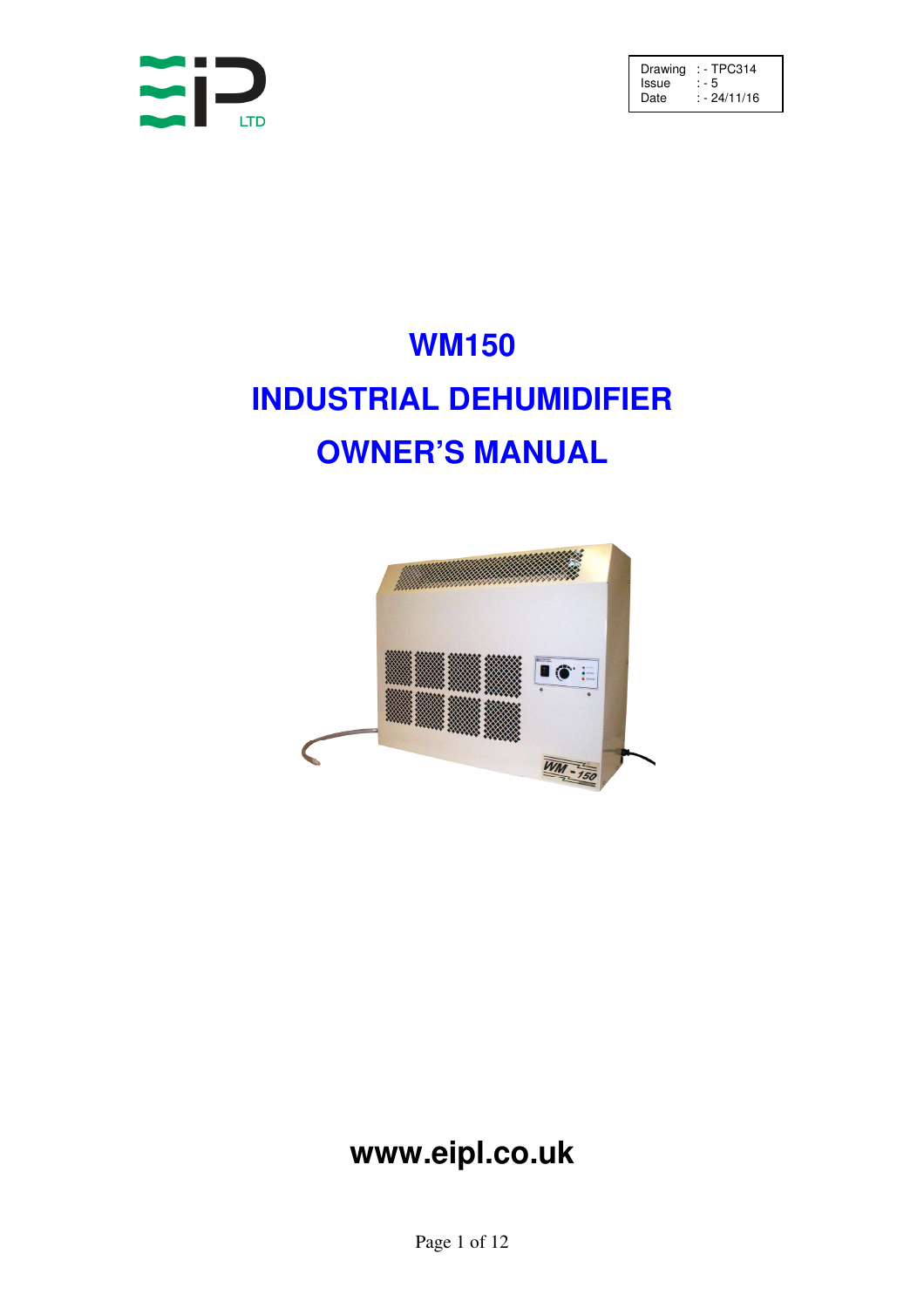

Drawing : - TPC314 Issue : - 5 Date : - 24/11/16

# **WM150 INDUSTRIAL DEHUMIDIFIER OWNER'S MANUAL**



# **www.eipl.co.uk**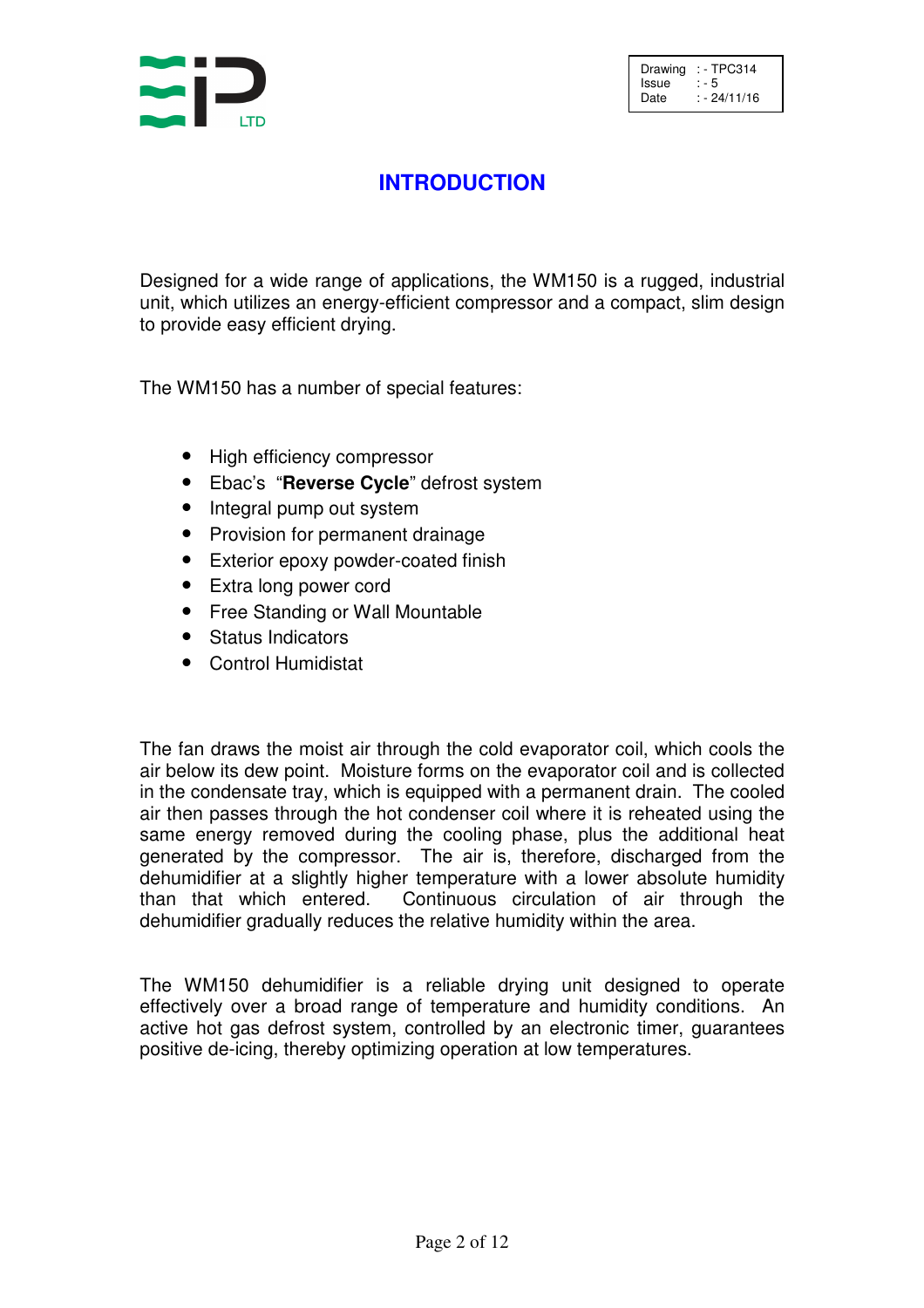

# **INTRODUCTION**

Designed for a wide range of applications, the WM150 is a rugged, industrial unit, which utilizes an energy-efficient compressor and a compact, slim design to provide easy efficient drying.

The WM150 has a number of special features:

- High efficiency compressor
- Ebac's "**Reverse Cycle**" defrost system
- Integral pump out system
- Provision for permanent drainage
- Exterior epoxy powder-coated finish
- Extra long power cord
- Free Standing or Wall Mountable
- Status Indicators
- Control Humidistat

The fan draws the moist air through the cold evaporator coil, which cools the air below its dew point. Moisture forms on the evaporator coil and is collected in the condensate tray, which is equipped with a permanent drain. The cooled air then passes through the hot condenser coil where it is reheated using the same energy removed during the cooling phase, plus the additional heat generated by the compressor. The air is, therefore, discharged from the dehumidifier at a slightly higher temperature with a lower absolute humidity than that which entered. Continuous circulation of air through the dehumidifier gradually reduces the relative humidity within the area.

The WM150 dehumidifier is a reliable drying unit designed to operate effectively over a broad range of temperature and humidity conditions. An active hot gas defrost system, controlled by an electronic timer, guarantees positive de-icing, thereby optimizing operation at low temperatures.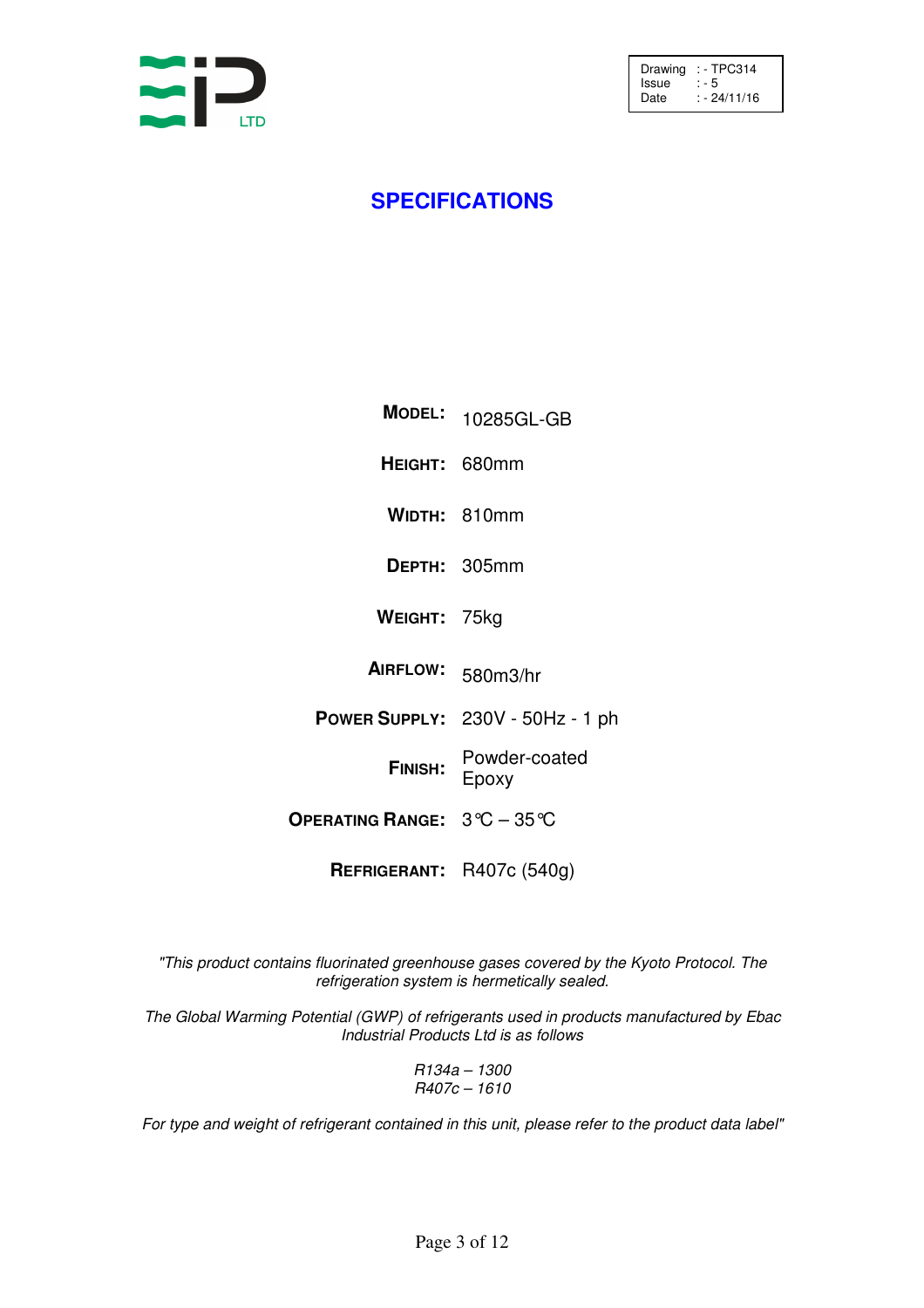

### **SPECIFICATIONS**

| <b>MODEL:</b>                                             | 10285GL-GB                       |
|-----------------------------------------------------------|----------------------------------|
| HEIGHT: 680mm                                             |                                  |
|                                                           | WIDTH: 810mm                     |
|                                                           | DEPTH: 305mm                     |
| WEIGHT: 75kg                                              |                                  |
| <b>AIRFLOW:</b>                                           | 580m3/hr                         |
|                                                           | POWER SUPPLY: 230V - 50Hz - 1 ph |
| FINISH:                                                   | Powder-coated<br>Epoxy           |
| OPERATING RANGE: $3^{\circ}\text{C} - 35^{\circ}\text{C}$ |                                  |
| REFRIGERANT: R407c (540g)                                 |                                  |

"This product contains fluorinated greenhouse gases covered by the Kyoto Protocol. The refrigeration system is hermetically sealed.

The Global Warming Potential (GWP) of refrigerants used in products manufactured by Ebac Industrial Products Ltd is as follows

> R134a – 1300 R407c – 1610

For type and weight of refrigerant contained in this unit, please refer to the product data label"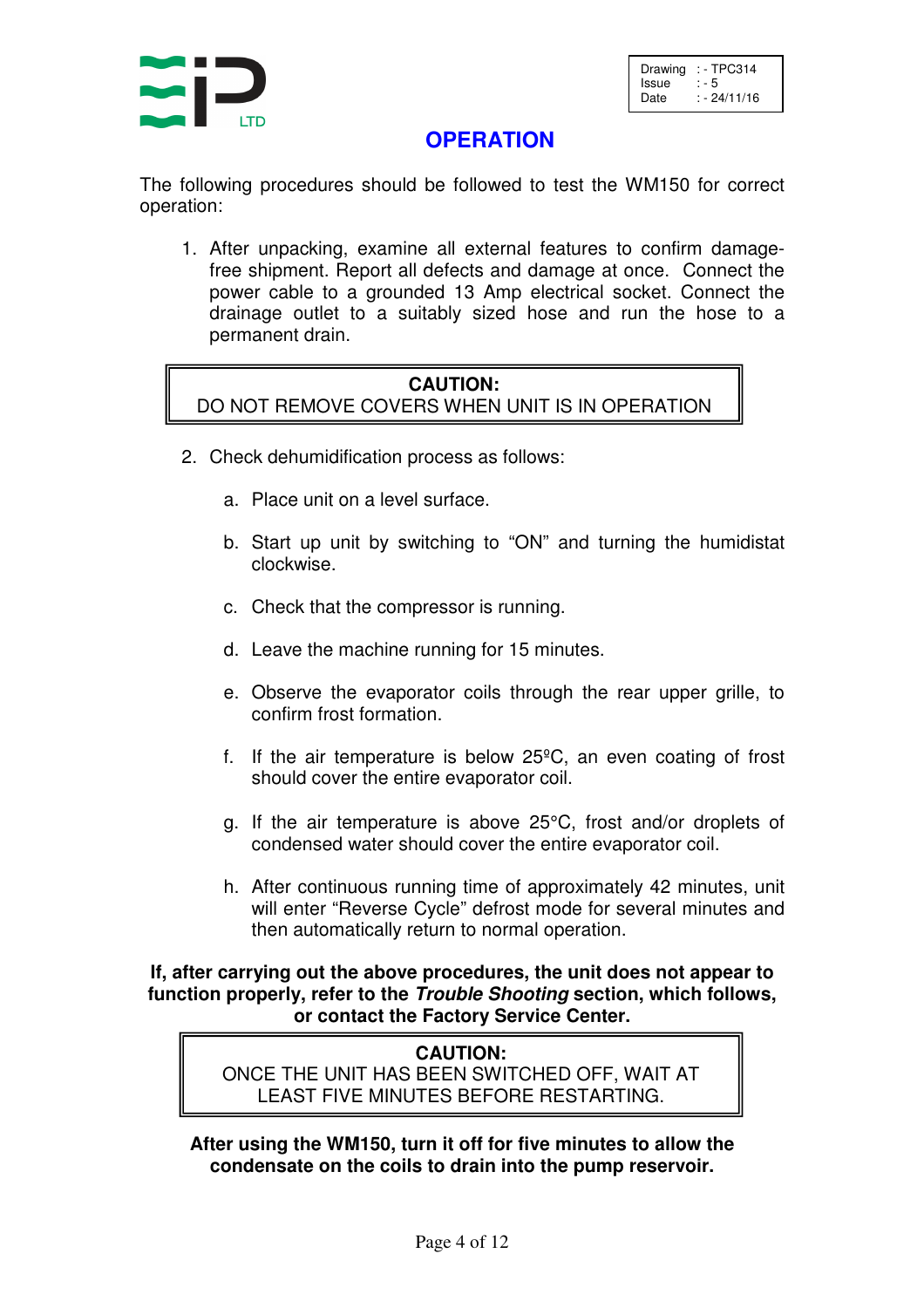

Drawing  $:$  - TPC314<br>Issue  $:$  - 5 Issue Date : - 24/11/16

#### **OPERATION**

The following procedures should be followed to test the WM150 for correct operation:

1. After unpacking, examine all external features to confirm damagefree shipment. Report all defects and damage at once. Connect the power cable to a grounded 13 Amp electrical socket. Connect the drainage outlet to a suitably sized hose and run the hose to a permanent drain.

#### **CAUTION:** DO NOT REMOVE COVERS WHEN UNIT IS IN OPERATION

- 2. Check dehumidification process as follows:
	- a. Place unit on a level surface.
	- b. Start up unit by switching to "ON" and turning the humidistat clockwise.
	- c. Check that the compressor is running.
	- d. Leave the machine running for 15 minutes.
	- e. Observe the evaporator coils through the rear upper grille, to confirm frost formation.
	- f. If the air temperature is below 25ºC, an even coating of frost should cover the entire evaporator coil.
	- g. If the air temperature is above 25°C, frost and/or droplets of condensed water should cover the entire evaporator coil.
	- h. After continuous running time of approximately 42 minutes, unit will enter "Reverse Cycle" defrost mode for several minutes and then automatically return to normal operation.

**If, after carrying out the above procedures, the unit does not appear to function properly, refer to the Trouble Shooting section, which follows, or contact the Factory Service Center.**

#### **CAUTION:** ONCE THE UNIT HAS BEEN SWITCHED OFF, WAIT AT LEAST FIVE MINUTES BEFORE RESTARTING.

**After using the WM150, turn it off for five minutes to allow the condensate on the coils to drain into the pump reservoir.**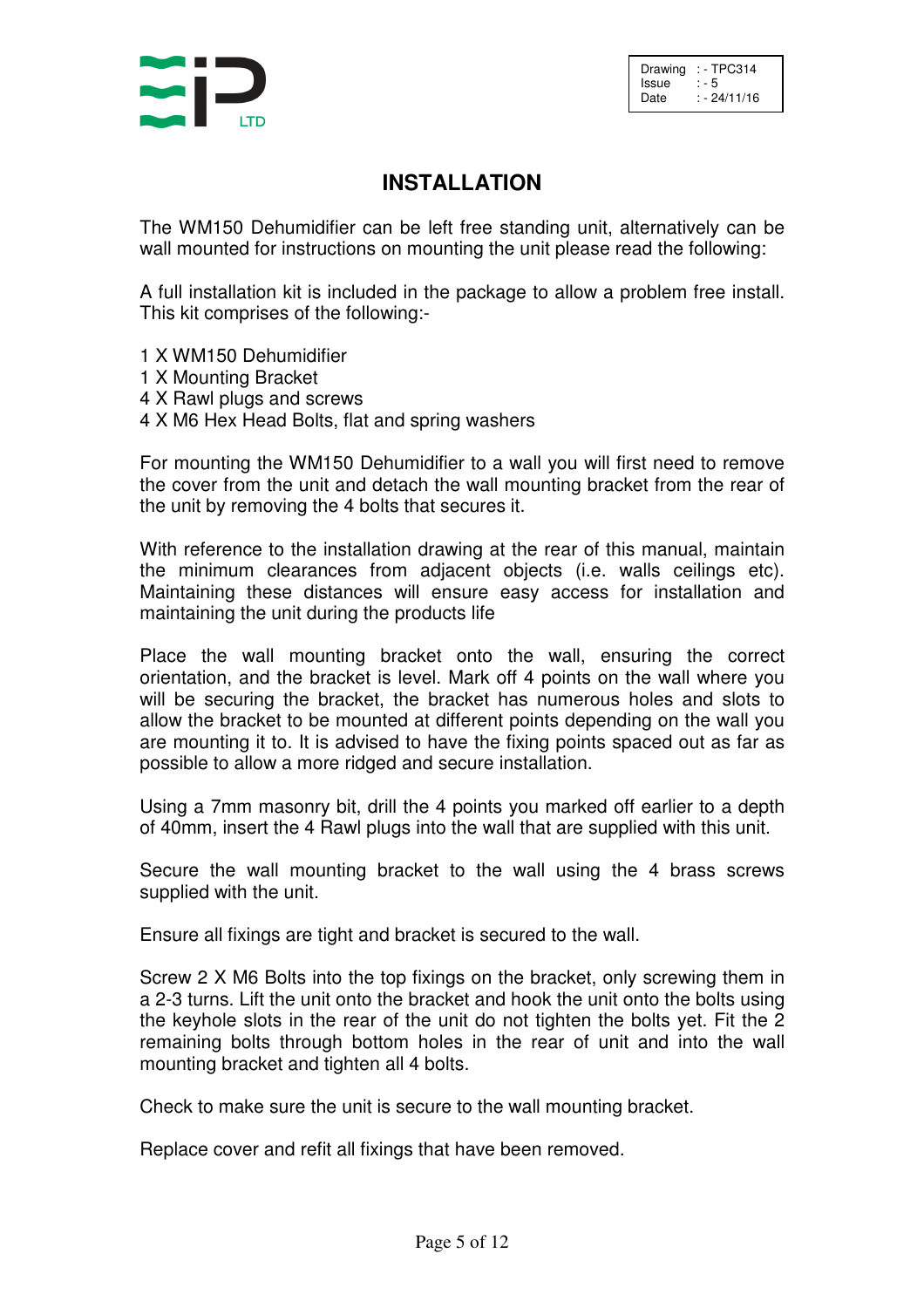Drawing : TPC314<br>Issue : - 5 Issue<br>Date  $: -24/11/16$ 

#### **INSTALLATION**

The WM150 Dehumidifier can be left free standing unit, alternatively can be wall mounted for instructions on mounting the unit please read the following:

A full installation kit is included in the package to allow a problem free install. This kit comprises of the following:-

- 1 X WM150 Dehumidifier
- 1 X Mounting Bracket
- 4 X Rawl plugs and screws
- 4 X M6 Hex Head Bolts, flat and spring washers

For mounting the WM150 Dehumidifier to a wall you will first need to remove the cover from the unit and detach the wall mounting bracket from the rear of the unit by removing the 4 bolts that secures it.

With reference to the installation drawing at the rear of this manual, maintain the minimum clearances from adjacent objects (i.e. walls ceilings etc). Maintaining these distances will ensure easy access for installation and maintaining the unit during the products life

Place the wall mounting bracket onto the wall, ensuring the correct orientation, and the bracket is level. Mark off 4 points on the wall where you will be securing the bracket, the bracket has numerous holes and slots to allow the bracket to be mounted at different points depending on the wall you are mounting it to. It is advised to have the fixing points spaced out as far as possible to allow a more ridged and secure installation.

Using a 7mm masonry bit, drill the 4 points you marked off earlier to a depth of 40mm, insert the 4 Rawl plugs into the wall that are supplied with this unit.

Secure the wall mounting bracket to the wall using the 4 brass screws supplied with the unit.

Ensure all fixings are tight and bracket is secured to the wall.

Screw 2 X M6 Bolts into the top fixings on the bracket, only screwing them in a 2-3 turns. Lift the unit onto the bracket and hook the unit onto the bolts using the keyhole slots in the rear of the unit do not tighten the bolts yet. Fit the 2 remaining bolts through bottom holes in the rear of unit and into the wall mounting bracket and tighten all 4 bolts.

Check to make sure the unit is secure to the wall mounting bracket.

Replace cover and refit all fixings that have been removed.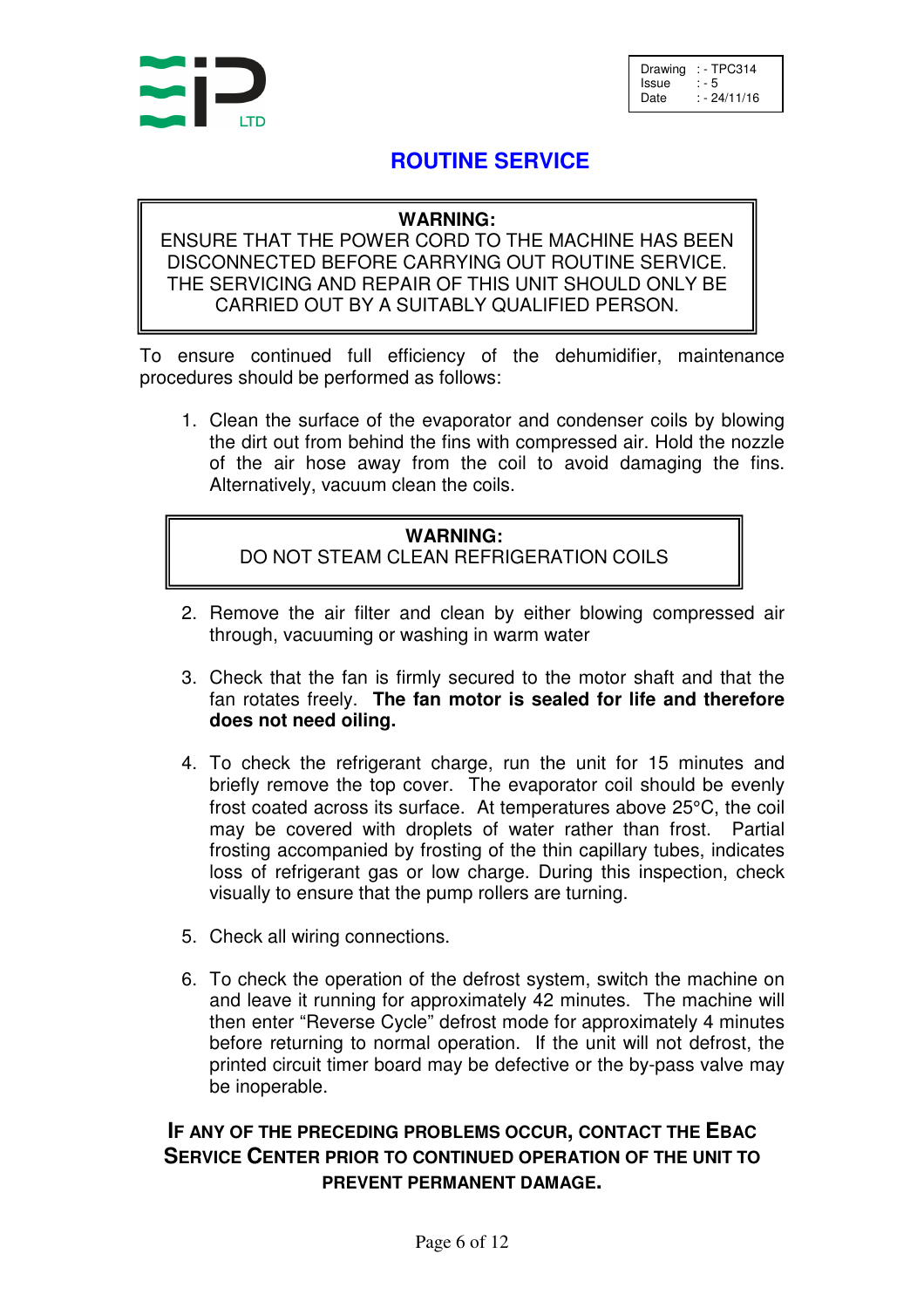

Drawing  $:$  - TPC314<br>Issue  $:$  - 5 Issue<br>Date  $: -24/11/16$ 

#### **ROUTINE SERVICE**

#### **WARNING:**

ENSURE THAT THE POWER CORD TO THE MACHINE HAS BEEN DISCONNECTED BEFORE CARRYING OUT ROUTINE SERVICE. THE SERVICING AND REPAIR OF THIS UNIT SHOULD ONLY BE CARRIED OUT BY A SUITABLY QUALIFIED PERSON.

To ensure continued full efficiency of the dehumidifier, maintenance procedures should be performed as follows:

1. Clean the surface of the evaporator and condenser coils by blowing the dirt out from behind the fins with compressed air. Hold the nozzle of the air hose away from the coil to avoid damaging the fins. Alternatively, vacuum clean the coils.

#### **WARNING:**

DO NOT STEAM CLEAN REFRIGERATION COILS

- 2. Remove the air filter and clean by either blowing compressed air through, vacuuming or washing in warm water
- 3. Check that the fan is firmly secured to the motor shaft and that the fan rotates freely. **The fan motor is sealed for life and therefore does not need oiling.**
- 4. To check the refrigerant charge, run the unit for 15 minutes and briefly remove the top cover. The evaporator coil should be evenly frost coated across its surface. At temperatures above 25°C, the coil may be covered with droplets of water rather than frost. Partial frosting accompanied by frosting of the thin capillary tubes, indicates loss of refrigerant gas or low charge. During this inspection, check visually to ensure that the pump rollers are turning.
- 5. Check all wiring connections.
- 6. To check the operation of the defrost system, switch the machine on and leave it running for approximately 42 minutes. The machine will then enter "Reverse Cycle" defrost mode for approximately 4 minutes before returning to normal operation. If the unit will not defrost, the printed circuit timer board may be defective or the by-pass valve may be inoperable.

#### **IF ANY OF THE PRECEDING PROBLEMS OCCUR, CONTACT THE EBAC SERVICE CENTER PRIOR TO CONTINUED OPERATION OF THE UNIT TO PREVENT PERMANENT DAMAGE.**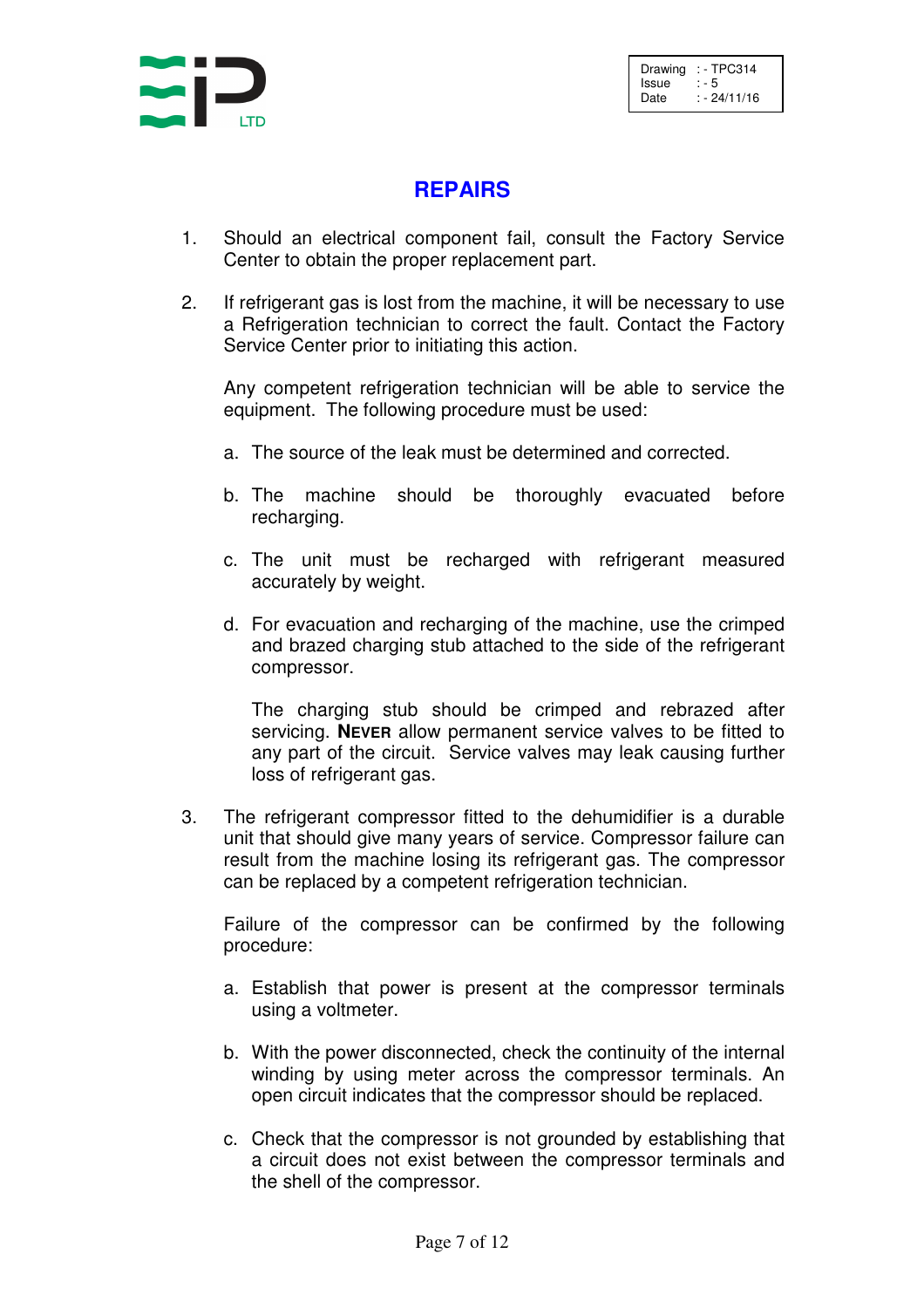

#### **REPAIRS**

- 1. Should an electrical component fail, consult the Factory Service Center to obtain the proper replacement part.
- 2. If refrigerant gas is lost from the machine, it will be necessary to use a Refrigeration technician to correct the fault. Contact the Factory Service Center prior to initiating this action.

 Any competent refrigeration technician will be able to service the equipment. The following procedure must be used:

- a. The source of the leak must be determined and corrected.
- b. The machine should be thoroughly evacuated before recharging.
- c. The unit must be recharged with refrigerant measured accurately by weight.
- d. For evacuation and recharging of the machine, use the crimped and brazed charging stub attached to the side of the refrigerant compressor.

 The charging stub should be crimped and rebrazed after servicing. **NEVER** allow permanent service valves to be fitted to any part of the circuit. Service valves may leak causing further loss of refrigerant gas.

 3. The refrigerant compressor fitted to the dehumidifier is a durable unit that should give many years of service. Compressor failure can result from the machine losing its refrigerant gas. The compressor can be replaced by a competent refrigeration technician.

 Failure of the compressor can be confirmed by the following procedure:

- a. Establish that power is present at the compressor terminals using a voltmeter.
- b. With the power disconnected, check the continuity of the internal winding by using meter across the compressor terminals. An open circuit indicates that the compressor should be replaced.
- c. Check that the compressor is not grounded by establishing that a circuit does not exist between the compressor terminals and the shell of the compressor.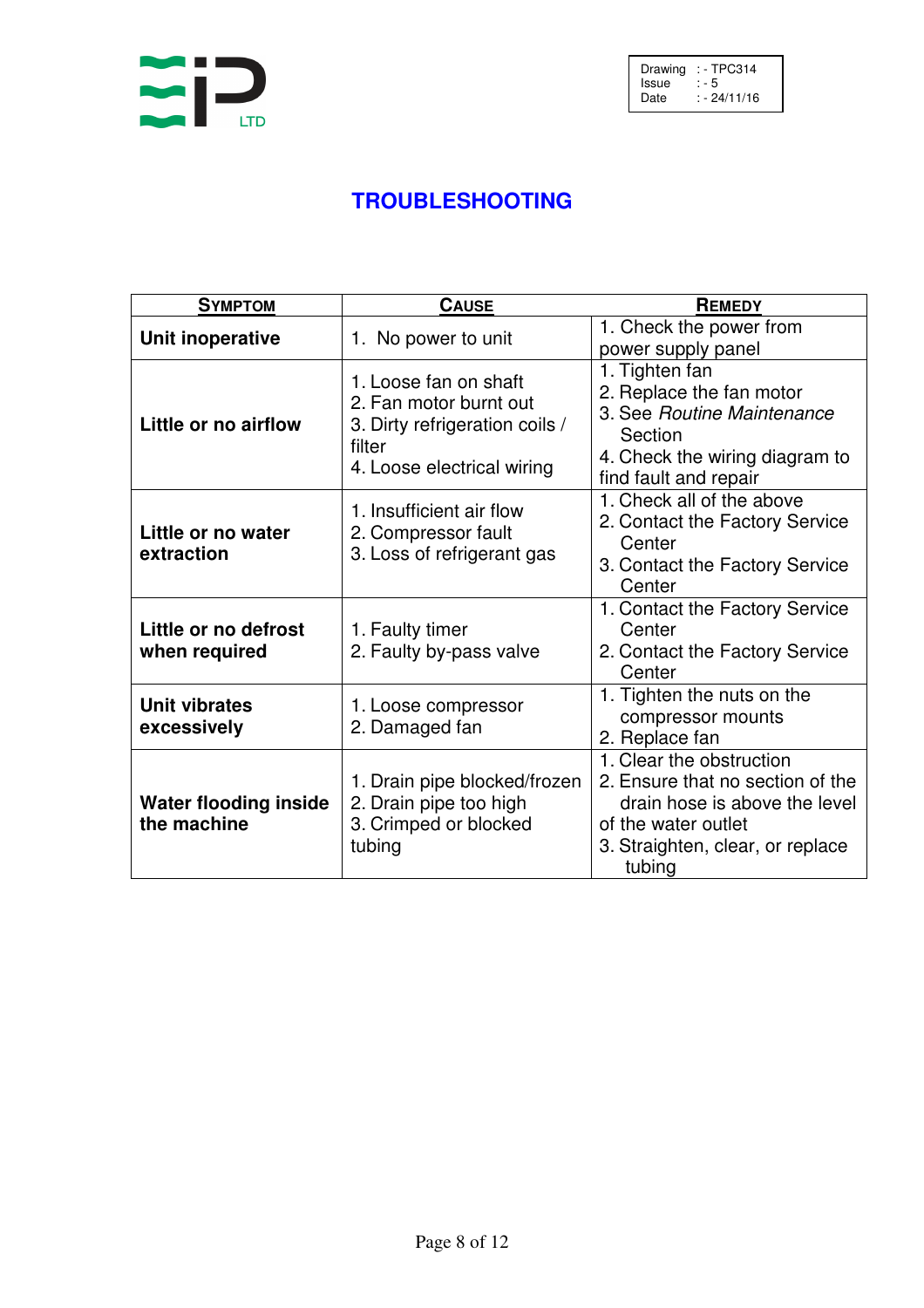

# **TROUBLESHOOTING**

| <b>SYMPTOM</b>                              | <b>CAUSE</b>                                                                                                              | <b>REMEDY</b>                                                                                                                                                      |  |
|---------------------------------------------|---------------------------------------------------------------------------------------------------------------------------|--------------------------------------------------------------------------------------------------------------------------------------------------------------------|--|
| Unit inoperative                            | 1. No power to unit                                                                                                       | 1. Check the power from<br>power supply panel                                                                                                                      |  |
| Little or no airflow                        | 1. Loose fan on shaft<br>2. Fan motor burnt out<br>3. Dirty refrigeration coils /<br>filter<br>4. Loose electrical wiring | 1. Tighten fan<br>2. Replace the fan motor<br>3. See Routine Maintenance<br>Section<br>4. Check the wiring diagram to<br>find fault and repair                     |  |
| Little or no water<br>extraction            | 1. Insufficient air flow<br>2. Compressor fault<br>3. Loss of refrigerant gas                                             | 1. Check all of the above<br>2. Contact the Factory Service<br>Center<br>3. Contact the Factory Service<br>Center                                                  |  |
| Little or no defrost<br>when required       | 1. Faulty timer<br>2. Faulty by-pass valve                                                                                | 1. Contact the Factory Service<br>Center<br>2. Contact the Factory Service<br>Center                                                                               |  |
| <b>Unit vibrates</b><br>excessively         | 1. Loose compressor<br>2. Damaged fan                                                                                     | 1. Tighten the nuts on the<br>compressor mounts<br>2. Replace fan                                                                                                  |  |
| <b>Water flooding inside</b><br>the machine | 1. Drain pipe blocked/frozen<br>2. Drain pipe too high<br>3. Crimped or blocked<br>tubing                                 | 1. Clear the obstruction<br>2. Ensure that no section of the<br>drain hose is above the level<br>of the water outlet<br>3. Straighten, clear, or replace<br>tubing |  |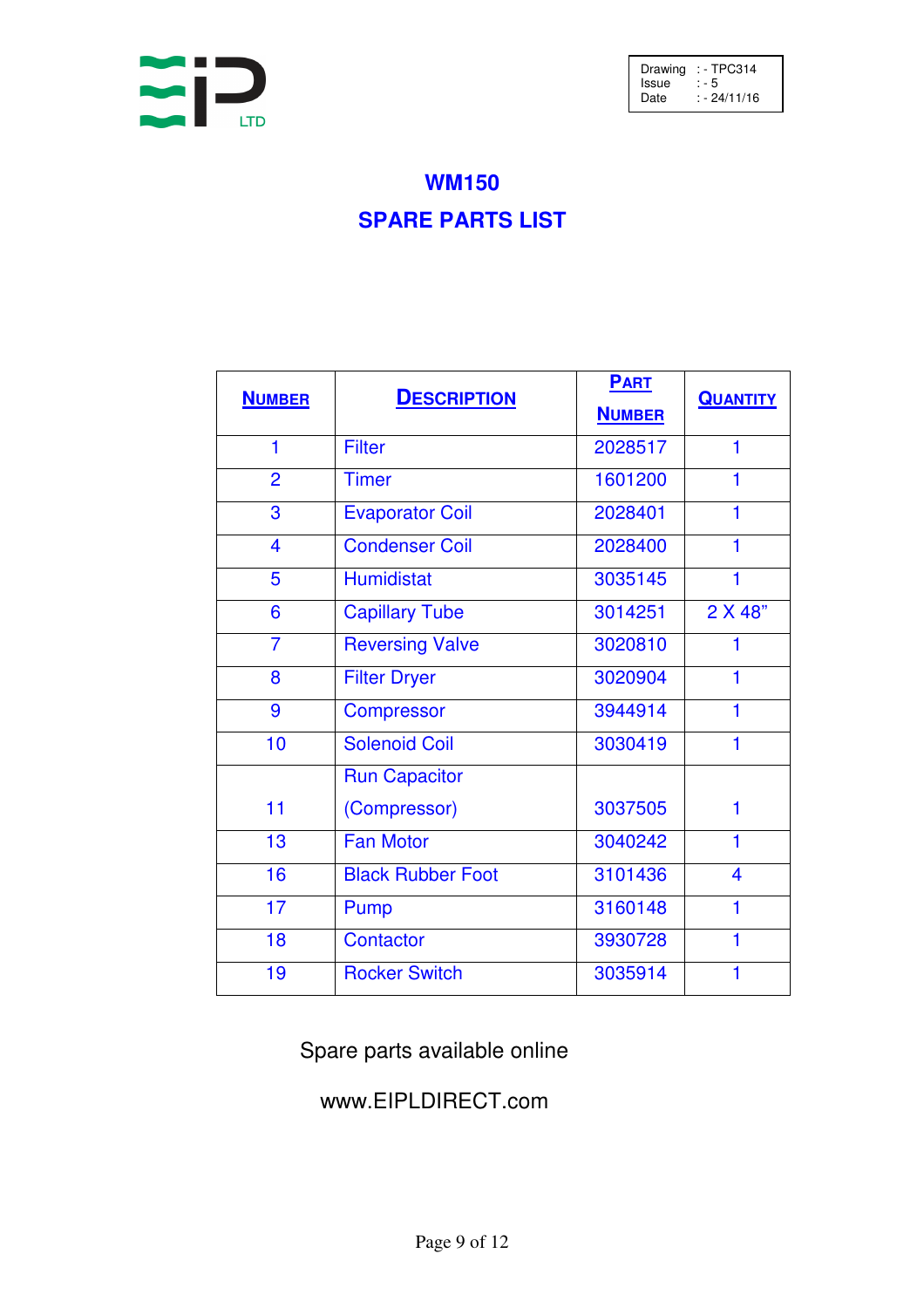

Drawing : - TPC314 Issue : - 5 Date : - 24/11/16

# **WM150 SPARE PARTS LIST**

| <b>NUMBER</b>  | <b>DESCRIPTION</b>       | <b>PART</b><br><b>NUMBER</b> | <b>QUANTITY</b> |
|----------------|--------------------------|------------------------------|-----------------|
| $\mathbf 1$    | <b>Filter</b>            | 2028517                      | 1               |
|                |                          |                              |                 |
| $\overline{2}$ | <b>Timer</b>             | 1601200                      | 1               |
| 3              | <b>Evaporator Coil</b>   | 2028401                      | 1               |
| 4              | <b>Condenser Coil</b>    | 2028400                      | 1               |
| 5              | <b>Humidistat</b>        | 3035145                      | 1               |
| 6              | <b>Capillary Tube</b>    | 3014251                      | 2 X 48"         |
| $\overline{7}$ | <b>Reversing Valve</b>   | 3020810                      | 1               |
| 8              | <b>Filter Dryer</b>      | 3020904                      | 1               |
| 9              | <b>Compressor</b>        | 3944914                      | 1               |
| 10             | <b>Solenoid Coil</b>     | 3030419                      | 1               |
|                | <b>Run Capacitor</b>     |                              |                 |
| 11             | (Compressor)             | 3037505                      | 1               |
| 13             | <b>Fan Motor</b>         | 3040242                      | $\mathbf 1$     |
| 16             | <b>Black Rubber Foot</b> | 3101436                      | 4               |
| 17             | Pump                     | 3160148                      | 1               |
| 18             | Contactor                | 3930728                      | 1               |
| 19             | <b>Rocker Switch</b>     | 3035914                      | 1               |

Spare parts available online

### www.EIPLDIRECT.com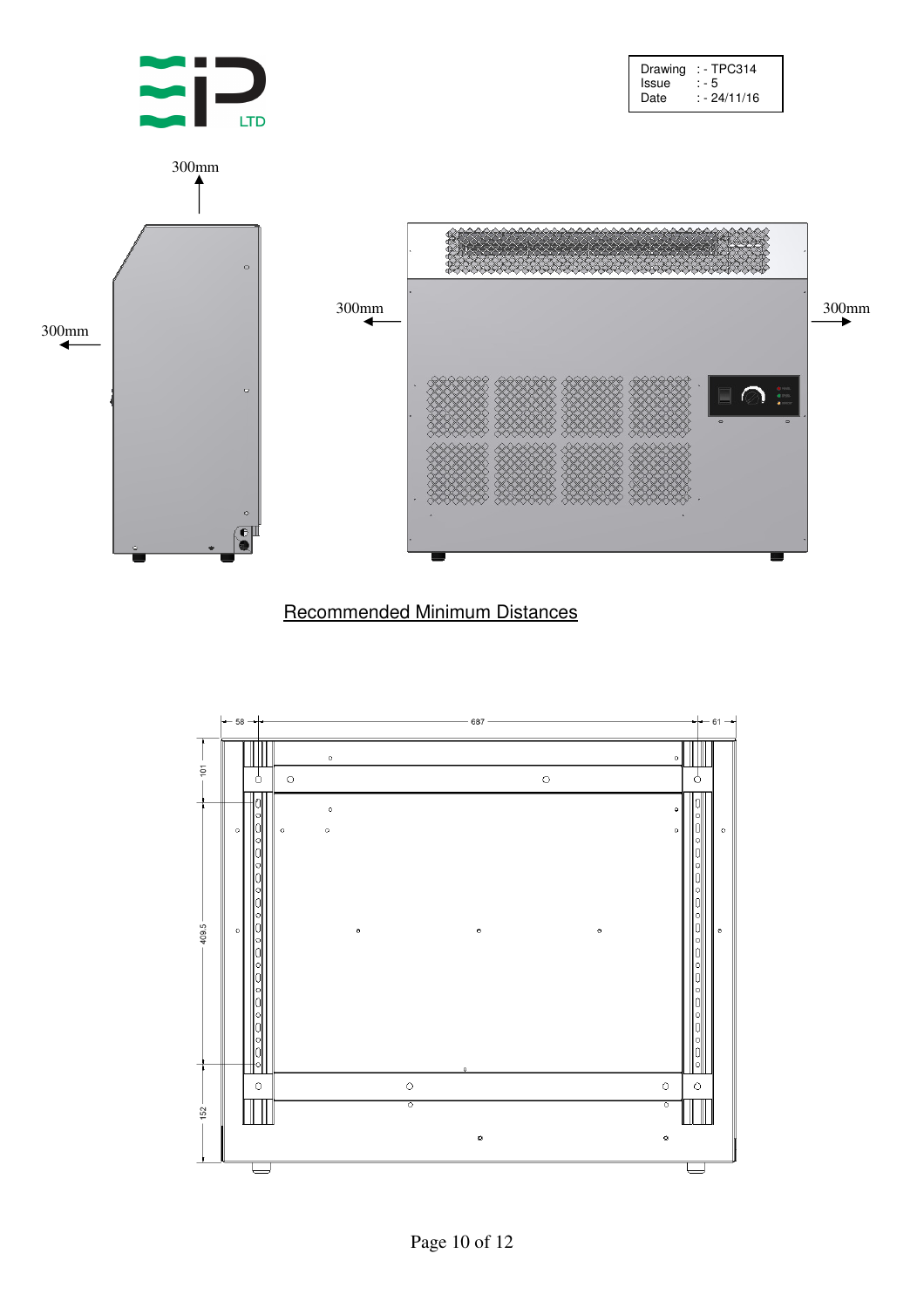

#### Recommended Minimum Distances

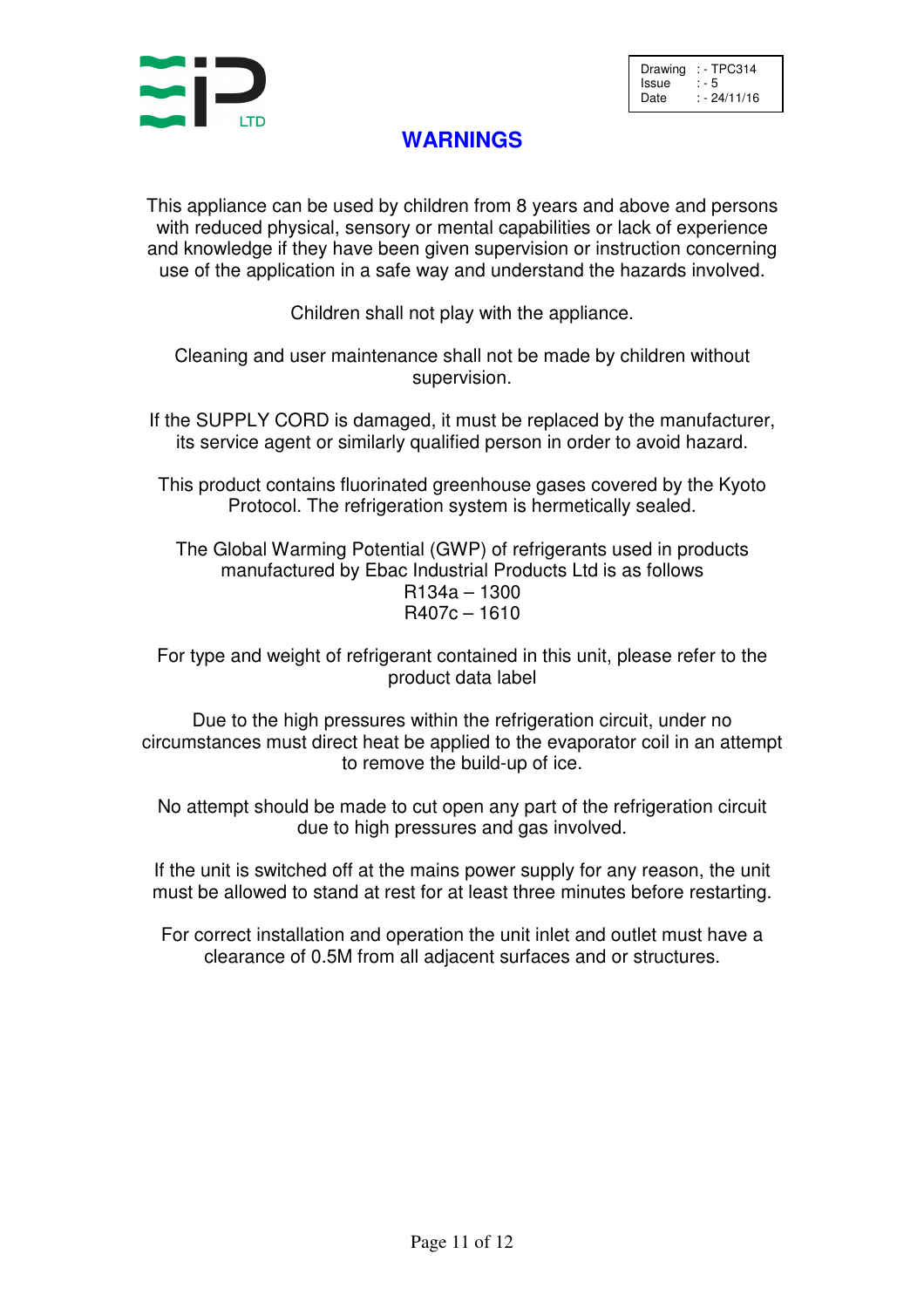

Drawing  $:$  - TPC314<br>Issue  $:$  - 5 Issue<br>Date  $: -24/11/16$ 

## **WARNINGS**

This appliance can be used by children from 8 years and above and persons with reduced physical, sensory or mental capabilities or lack of experience and knowledge if they have been given supervision or instruction concerning use of the application in a safe way and understand the hazards involved.

Children shall not play with the appliance.

Cleaning and user maintenance shall not be made by children without supervision.

If the SUPPLY CORD is damaged, it must be replaced by the manufacturer, its service agent or similarly qualified person in order to avoid hazard.

This product contains fluorinated greenhouse gases covered by the Kyoto Protocol. The refrigeration system is hermetically sealed.

The Global Warming Potential (GWP) of refrigerants used in products manufactured by Ebac Industrial Products Ltd is as follows R134a – 1300 R407c – 1610

For type and weight of refrigerant contained in this unit, please refer to the product data label

Due to the high pressures within the refrigeration circuit, under no circumstances must direct heat be applied to the evaporator coil in an attempt to remove the build-up of ice.

No attempt should be made to cut open any part of the refrigeration circuit due to high pressures and gas involved.

If the unit is switched off at the mains power supply for any reason, the unit must be allowed to stand at rest for at least three minutes before restarting.

For correct installation and operation the unit inlet and outlet must have a clearance of 0.5M from all adjacent surfaces and or structures.